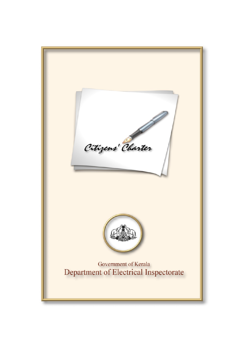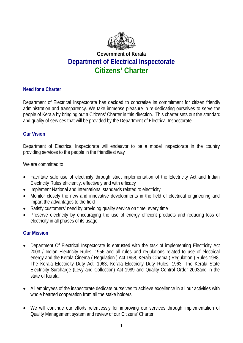

# **Government of Kerala Department of Electrical Inspectorate Citizens' Charter**

# **Need for a Charter**

Department of Electrical Inspectorate has decided to concretise its commitment for citizen friendly administration and transparency. We take immense pleasure in re-dedicating ourselves to serve the people of Kerala by bringing out a Citizens' Charter in this direction. This charter sets out the standard and quality of services that will be provided by the Department of Electrical Inspectorate

# **Our Vision**

Department of Electrical Inspectorate will endeavor to be a model inspectorate in the country providing services to the people in the friendliest way

We are committed to

- Facilitate safe use of electricity through strict implementation of the Electricity Act and Indian Electricity Rules efficiently. effectively and with efficacy
- Implement National and International standards related to electricity
- Monitor closely the new and innovative developments in the field of electrical engineering and impart the advantages to the field
- Satisfy customers' need by providing quality service on time, every time
- Preserve electricity by encouraging the use of energy efficient products and reducing loss of electricity in all phases of its usage.

# **Our Mission**

- Department Of Electrical Inspectorate is entrusted with the task of implementing Electricity Act 2003 / Indian Electricity Rules, 1956 and all rules and regulations related to use of electrical energy and the Kerala Cinema ( Regulation ) Act 1958, Kerala Cinema ( Regulation ) Rules 1988, The Kerala Electricity Duty Act, 1963, Kerala Electricity Duty Rules, 1963, The Kerala State Electricity Surcharge (Levy and Collection) Act 1989 and Quality Control Order 2003and in the state of Kerala.
- All employees of the inspectorate dedicate ourselves to achieve excellence in all our activities with whole hearted cooperation from all the stake holders.
- We will continue our efforts relentlessly for improving our services through implementation of Quality Management system and review of our Citizens' Charter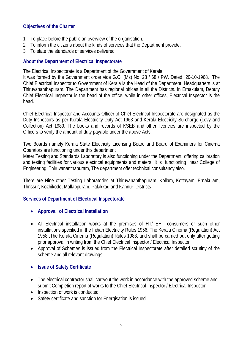# **Objectives of the Charter**

- 1. To place before the public an overview of the organisation.
- 2. To inform the citizens about the kinds of services that the Department provide.
- 3. To state the standards of services delivered

# **About the Department of Electrical Inspectorate**

The Electrical Inspectorate is a Department of the Government of Kerala

It was formed by the Government order vide G.O. (Ms) No. 28 / 68 / PW. Dated 20-10-1968. The Chief Electrical Inspector to Government of Kerala is the Head of the Department. Headquarters is at Thiruvananthapuram. The Department has regional offices in all the Districts. In Ernakulam, Deputy Chief Electrical Inspector is the head of the office, while in other offices, Electrical Inspector is the head.

Chief Electrical Inspector and Accounts Officer of Chief Electrical Inspectorate are designated as the Duty Inspectors as per Kerala Electricity Duty Act 1963 and Kerala Electricity Surcharge (Levy and Collection) Act 1989. The books and records of KSEB and other licencies are inspected by the Officers to verify the amount of duty payable under the above Acts.

Two Boards namely Kerala State Electricity Licensing Board and Board of Examiners for Cinema Operators are functioning under this department

Meter Testing and Standards Laboratory is also functioning under the Department offering calibration and testing facilities for various electrical equipments and meters It is functioning near College of Engineering, Thiruvananthapuram, The department offer technical consultancy also.

There are Nine other Testing Laboratories at Thiruvananthapuram, Kollam, Kottayam, Ernakulam, Thrissur, Kozhikode, Mallappuram, Palakkad and Kannur Districts

# **Services of Department of Electrical Inspectorate**

- **Approval of Electrical Installation**
- All Electrical installation works at the premises of HT/ EHT consumers or such other installations specified in the Indian Electricity Rules 1956, The Kerala Cinema (Regulation) Act 1958 ,The Kerala Cinema (Regulation) Rules 1988. and shall be carried out only after getting prior approval in writing from the Chief Electrical Inspector / Electrical Inspector
- Approval of Schemes is issued from the Electrical Inspectorate after detailed scrutiny of the scheme and all relevant drawings
- **Issue of Safety Certificate**
- The electrical contractor shall carryout the work in accordance with the approved scheme and submit Completion report of works to the Chief Electrical Inspector / Electrical Inspector
- Inspection of work is conducted
- Safety certificate and sanction for Energisation is issued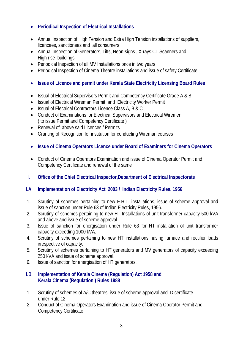- **Periodical Inspection of Electrical Installations**
- Annual Inspection of High Tension and Extra High Tension installations of suppliers, licencees, sanctionees and all consumers
- Annual Inspection of Generators, Lifts, Neon-signs , X-rays,CT Scanners and High rise buildings
- Periodical Inspection of all MV Installations once in two years
- Periodical Inspection of Cinema Theatre installations and issue of safety Certificate
- **Issue of Licence and permit under Kerala State Electricity Licensing Board Rules**
- Issual of Electrical Supervisors Permit and Competency Certificate Grade A & B
- Issual of Electrical Wireman Permit and Electricity Worker Permit
- Issual of Electrical Contractors Licence Class A, B & C
- Conduct of Examinations for Electrical Supervisors and Electrical Wiremen ( to issue Permit and Competency Certificate )
- Renewal of above said Licences / Permits
- Granting of Recognition for institution for conducting Wireman courses
- **Issue of Cinema Operators Licence under Board of Examiners for Cinema Operators**
- Conduct of Cinema Operators Examination and issue of Cinema Operator Permit and Competency Certificate and renewal of the same
- **I. Office of the Chief Electrical Inspector,Department of Electrical Inspectorate**

# **I.A Implementation of Electricity Act 2003 / Indian Electricity Rules, 1956**

- 1. Scrutiny of schemes pertaining to new E.H.T, installations, issue of scheme approval and issue of sanction under Rule 63 of Indian Electricity Rules, 1956.
- 2. Scrutiny of schemes pertaining to new HT Installations of unit transformer capacity 500 kVA and above and issue of scheme approval.
- 3. Issue of sanction for energisation under Rule 63 for HT installation of unit transformer capacity exceeding 1000 kVA.
- 4. Scrutiny of schemes pertaining to new HT installations having furnace and rectifier loads irrespective of capacity.
- 5. Scrutiny of schemes pertaining to HT generators and MV generators of capacity exceeding 250 kVA and issue of scheme approval.
- 6. Issue of sanction for energisation of HT generators.

# **I.B Implementation of Kerala Cinema (Regulation) Act 1958 and Kerala Cinema (Regulation ) Rules 1988**

- 1. Scrutiny of schemes of A/C theatres, issue of scheme approval and D certificate under Rule 12
- 2. Conduct of Cinema Operators Examination and issue of Cinema Operator Permit and Competency Certificate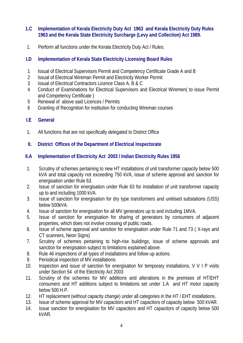# **1.C Implementation of Kerala Electricity Duty Act 1963 and Kerala Electricity Duty Rules 1963 and the Kerala State Electricity Surcharge (Levy and Collection) Act 1989.**

1. Perform all functions under the Kerala Electricity Duty Act / Rules.

# **I.D Implementation of Kerala State Electricity Licensing Board Rules**

- 1 Issual of Electrical Supervisors Permit and Competency Certificate Grade A and B
- 2 Issual of Electrical Wireman Permit and Electricity Worker Permit
- 3 Issual of Electrical Contractors Licence Class A, B & C
- 4 Conduct of Examinations for Electrical Supervisors and Electrical Wiremen( to issue Permit and Competency Certificate )
- 5 Renewal of above said Licences / Permits
- 6 Granting of Recognition for institution for conducting Wireman courses

# **I.E General**

1. All functions that are not specifically delegated to District Office

# **II. District Offices of the Department of Electrical Inspectorate**

# **II.A Implementation of Electricity Act 2003 / Indian Electricity Rules 1956**

- 1. Scrutiny of schemes pertaining to new HT installations of unit transformer capacity below 500 kVA and total capacity not exceeding 750 kVA, issue of scheme approval and sanction for energisation under Rule 63.
- 2. Issue of sanction for energisation under Rule 63 for installation of unit transformer capacity up to and including 1000 kVA.
- 3. Issue of sanction for energisation for dry type transformers and unitiised substations (USS) below 500kVA.
- 4. Issue of sanction for energisation for all MV generators up to and including 1MVA.
- 5. Issue of sanction for energisation for sharing of generators by consumers of adjacent properties, which does not involve crossing of public roads.
- 6. Issue of scheme approval and sanction for energisation under Rule 71 and 73 ( X-rays and CT scanners, Neon Signs)
- 7. Scrutiny of schemes pertaining to high-rise buildings, issue of scheme approvals and sanction for energisation subject to limitations explained above.
- 8. Rule 46 inspections of all types of installations and follow up actions.
- 9. Periodical inspection of MV installations.
- 10. Inspection and issue of sanction for energisation for temporary installations, V V I P visits under Section 54 of the Electricity Act 2003
- 11. Scrutiny of the schemes for MV additions and alterations in the premises of HT/EHT consumers and HT additions subject to limitations set under 1.A and HT motor capacity below 500 H.P.
- 12. HT replacement (without capacity change) under all categories in the HT / EHT installations.
- 13. Issue of scheme approval for MV capacitors and HT capacitors of capacity below 500 kVAR.
- 14. Issue sanction for energisation for MV capacitors and HT capacitors of capacity below 500 kVAR.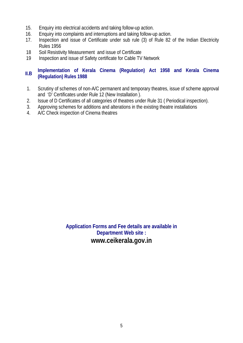- 15. Enquiry into electrical accidents and taking follow-up action.
- 16. Enquiry into complaints and interruptions and taking follow-up action.
- 17. Inspection and issue of Certificate under sub rule (3) of Rule 82 of the Indian Electricity Rules 1956
- 18 Soil Resistivity Measurement and issue of Certificate
- 19 Inspection and issue of Safety certificate for Cable TV Network

# **II.B Implementation of Kerala Cinema (Regulation) Act 1958 and Kerala Cinema (Regulation) Rules 1988**

- 1. Scrutiny of schemes of non-A/C permanent and temporary theatres, issue of scheme approval and 'D' Certificates under Rule 12 (New Installation ).
- 2. Issue of D Certificates of all categories of theatres under Rule 31 ( Periodical inspection).
- 3. Approving schemes for additions and alterations in the existing theatre installations
- 4. A/C Check inspection of Cinema theatres

**Application Forms and Fee details are available in Department Web site : www.ceikerala.gov.in**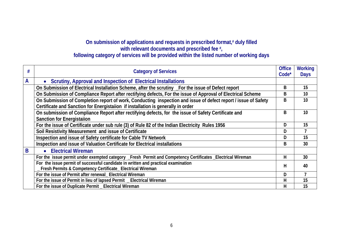# On submission of applications and requests in prescribed format,<sup>#</sup> duly filled **with relevant documents and prescribed fee #,**

### **following category of services will be provided within the listed number of working days**

| #            | <b>Category of Services</b>                                                                                    | <b>Office</b><br>Code <sup>*</sup> | <b>Working</b><br><b>Days</b> |
|--------------|----------------------------------------------------------------------------------------------------------------|------------------------------------|-------------------------------|
| $\mathsf{A}$ | Scrutiny, Approval and Inspection of Electrical Installations<br>$\bullet$                                     |                                    |                               |
|              | On Submission of Electrical Installation Scheme, after the scrutiny _For the issue of Defect report            | B                                  | 15                            |
|              | On Submission of Compliance Report after rectifying defects, For the issue of Approval of Electrical Scheme    | B                                  | 10 <sup>°</sup>               |
|              | On Submission of Completion report of work, Conducting inspection and issue of defect report / issue of Safety | B                                  | 10                            |
|              | Certificate and Sanction for Energistaiion if installation is generally in order                               |                                    |                               |
|              | On submission of Compliance Report after rectifying defects, for the issue of Safety Certificate and           | B                                  | 10                            |
|              | <b>Sanction for Energistalion</b>                                                                              |                                    |                               |
|              | For the issue of Certificate under sub rule (3) of Rule 82 of the Indian Electricity Rules 1956                | D                                  | 15                            |
|              | Soil Resistivity Measurement and issue of Certificate                                                          | D                                  |                               |
|              | Inspection and issue of Safety certificate for Cable TV Network                                                | D                                  | 15                            |
|              | Inspection and issue of Valuation Certificate for Electrical installations                                     | B                                  | 30                            |
| B            | <b>Electrical Wireman</b><br>$\bullet$                                                                         |                                    |                               |
|              | For the issue permit under exempted category _Fresh Permit and Competency Certificates _Electrical Wireman     | H                                  | 30                            |
|              | For the issue permit of successful candidate in written and practical examination                              | H                                  | 40                            |
|              | Fresh Permits & Competency Certificate_ Electrical Wireman                                                     |                                    |                               |
|              | For the issue of Permit after renewal_ Electrical Wireman                                                      | D                                  |                               |
|              | For the issue of Permit in lieu of lapsed Permit _ Electrical Wireman                                          | н                                  | 15                            |
|              | For the issue of Duplicate Permit _ Electrical Wireman                                                         | Н                                  | 15                            |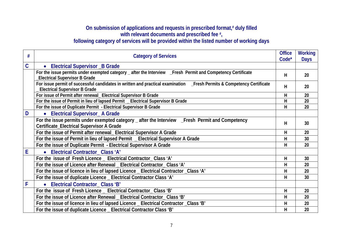# On submission of applications and requests in prescribed format,<sup>#</sup> duly filled **with relevant documents and prescribed fee #, following category of services will be provided within the listed number of working days**

| #              | <b>Category of Services</b>                                                                                                                                    | <b>Office</b><br>Code* | <b>Working</b><br><b>Days</b> |
|----------------|----------------------------------------------------------------------------------------------------------------------------------------------------------------|------------------------|-------------------------------|
| $\overline{C}$ | • Electrical Supervisor _B Grade                                                                                                                               |                        |                               |
|                | For the issue permits under exempted category _ after the Interview _Fresh Permit and Competency Certificate<br><b>Electrical Supervisor B Grade</b>           | H                      | 20                            |
|                | For issue permit of successful candidates in written and practical examination _Fresh Permits & Competency Certificate<br><b>Electrical Supervisor B Grade</b> | H                      | 20                            |
|                | For issue of Permit after renewal_ Electrical Supervisor B Grade                                                                                               | H                      | 20                            |
|                | For the issue of Permit in lieu of lapsed Permit _ Electrical Supervisor B Grade                                                                               | H                      | 20                            |
|                | For the issue of Duplicate Permit - Electrical Supervisor B Grade                                                                                              | H                      | 20                            |
| D              | • Electrical Supervisor_A Grade                                                                                                                                |                        |                               |
|                | For the issue permits under exempted category _ after the Interview _Fresh Permit and Competency                                                               | H                      | 30                            |
|                | Certificate_Electrical Supervisor A Grade                                                                                                                      |                        |                               |
|                | For the issue of Permit after renewal_ Electrical Supervisor A Grade                                                                                           | H                      | 20                            |
|                | For the issue of Permit in lieu of lapsed Permit _ Electrical Supervisor A Grade                                                                               | H                      | 30                            |
|                | For the issue of Duplicate Permit - Electrical Supervisor A Grade                                                                                              | H                      | 20                            |
| E              | • Electrical Contractor_Class 'A'                                                                                                                              |                        |                               |
|                | For the issue of Fresh Licence _ Electrical Contractor_Class 'A'                                                                                               | H                      | 30                            |
|                | For the issue of Licence after Renewal _ Electrical Contractor_Class 'A'                                                                                       | H                      | 20                            |
|                | For the issue of licence in lieu of lapsed Licence _ Electrical Contractor _Class 'A'                                                                          | н                      | 20                            |
|                | For the issue of duplicate Licence _ Electrical Contractor Class 'A'                                                                                           | H                      | 30                            |
| $\mathsf{F}$   | • Electrical Contractor_Class 'B'                                                                                                                              |                        |                               |
|                | For the issue of Fresh Licence _ Electrical Contractor_Class 'B'                                                                                               | н                      | 20                            |
|                | For the issue of Licence after Renewal _ Electrical Contractor_Class 'B'                                                                                       | H                      | 20                            |
|                | For the issue of licence in lieu of lapsed Licence _ Electrical Contractor _Class 'B'                                                                          | H                      | 20                            |
|                | For the issue of duplicate Licence _ Electrical Contractor Class 'B'                                                                                           | H                      | 20                            |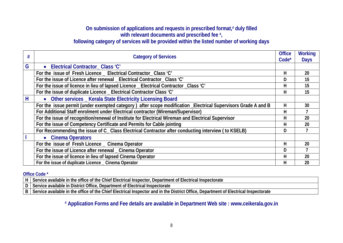# On submission of applications and requests in prescribed format,<sup>#</sup> duly filled **with relevant documents and prescribed fee #, following category of services will be provided within the listed number of working days**

|   | <b>Category of Services</b>                                                                                   | <b>Office</b><br>Code <sup>*</sup> | <b>Working</b><br><b>Days</b> |
|---|---------------------------------------------------------------------------------------------------------------|------------------------------------|-------------------------------|
| G | Electrical Contractor_Class 'C'<br>$\bullet$                                                                  |                                    |                               |
|   | For the issue of Fresh Licence _ Electrical Contractor_Class 'C'                                              | Н                                  | 20                            |
|   | For the issue of Licence after renewal _ Electrical Contractor_Class 'C'                                      | D                                  | 15                            |
|   | For the issue of licence in lieu of lapsed Licence _ Electrical Contractor _Class 'C'                         | н                                  | 15                            |
|   | For the issue of duplicate Licence _ Electrical Contractor Class 'C'                                          | Н                                  | 15                            |
| H | • Other services _ Kerala State Electricity Licensing Board                                                   |                                    |                               |
|   | For the issue permit (under exempted category) after scope modification _Electrical Supervisors Grade A and B | н                                  | 30                            |
|   | For Additional Staff enrolment under Electrical contractor (Wireman/Supervisor)                               | н                                  |                               |
|   | For the issue of recognition/renewal of Institute for Electrical Wireman and Electrical Supervisor            | н                                  | 20                            |
|   | For the issue of Competency Certificate and Permits for Cable jointing                                        | н                                  | 20                            |
|   | For Recommending the issue of C_ Class Electrical Contractor after conducting interview (to KSELB)            | D                                  |                               |
|   | • Cinema Operators                                                                                            |                                    |                               |
|   | For the issue of Fresh Licence _ Cinema Operator                                                              | Н                                  | 20                            |
|   | For the issue of Licence after renewal _ Cinema Operator                                                      | D                                  |                               |
|   | For the issue of licence in lieu of lapsed Cinema Operator                                                    | н                                  | 20                            |
|   | For the issue of duplicate Licence _ Cinema Operator                                                          | н                                  | 20                            |

#### **Office Code \***

**H Service available in the office of the Chief Electrical Inspector, Department of Electrical Inspectorate** 

**D** Service available in District Office, Department of Electrical Inspectorate

**B Service available in the office of the Chief Electrical Inspector and in the District Office, Department of Electrical Inspectorate** 

**# Application Forms and Fee details are available in Department Web site : www.ceikerala.gov.in**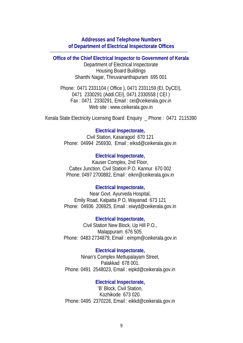### **Addresses and Telephone Numbers of Department of Electrical Inspectorate Offices**

**Office of the Chief Electrical Inspector to Government of Kerala**  Department of Electrical Inspectorate Housing Board Buildings Shanthi Nagar, Thiruvananthapuram 695 001

Phone: 0471 2331104 ( Office ), 0471 2331159 (EI, DyCEI), 0471 2330291 (Addl.CEI), 0471 2330558 ( CEI ) Fax : 0471 2330291, Email : cei@ceikerala.gov.in Web site : www.ceikerala.gov.in

Kerala State Electricity Licensing Board Enquiry \_ Phone : 0471 2115390

### **Electrical Inspectorate,**

Civil Station, Kasaragod 670 121 Phone: 04994 256930, Email : eiksd@ceikerala.gov.in

#### **Electrical Inspectorate,**

Kauser Complex, 2nd Floor, Caltex Junction, Civil Station P.O. Kannur 670 002 Phone: 0497 2700882, Email : eiknr@ceikerala.gov.in

#### **Electrical Inspectorate,**

Near Govt. Ayurveda Hospital, Emily Road, Kalpatta P O, Wayanad 673 121 Phone: 04936 206925, Email : eiwyd@ceikerala.gov.in

**Electrical Inspectorate,**  Civil Station New Block, Up Hill P.O., Malappuram 676 505. Phone: 0483 2734879, Email : eimpm@ceikerala.gov.in

#### **Electrical Inspectorate,**

Ninan's Complex Mettupalayam Street, Palakkad 678 001. Phone: 0491 2548023, Email : eipkd@ceikerala.gov.in

**Electrical Inspectorate,**  'B' Block, Civil Station, Kozhikode 673 020. Phone: 0495 2370226, Email : eikkd@ceikerala.gov.in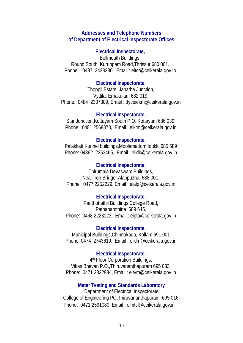#### **Addresses and Telephone Numbers of Department of Electrical Inspectorate Offices**

### **Electrical Inspectorate,**

Bellmouth Buildings, Round South, Kuruppam Road,Thrissur 680 001. Phone: 0487 2423280, Email: eitcr@ceikerala.gov.in

#### **Electrical Inspectorate,**

Thoppil Estate, Janatha Junction, Vyttila, Ernakulam 682 019. Phone: 0484 2307309, Email : dyceiekm@ceikerala.gov.in

#### **Electrical Inspectorate,**

Star Junction,Kottayam South P.O.,Kottayam 686 039. Phone: 0481 2568878, Email : eiktm@ceikerala.gov.in

#### **Electrical Inspectorate,**

Palakkatt Kunnel buildings,Moolamattom,Idukki 685 589 Phone: 04862 2253465, Email : eiidk@ceikerala.gov.in

#### **Electrical Inspectorate,**

Thirumala Devaswam Buildings, Near Iron Bridge, Alappuzha 688 001. Phone: 0477 2252229, Email : eialp@ceikerala.gov.in

### **Electrical Inspectorate,**

Panthottathil Buildings,College Road, Pathanamthitta 689 645. Phone: 0468 2223123, Email : eipta@ceikerala.gov.in

#### **Electrical Inspectorate,**

Municipal Buildings,Chinnakada, Kollam 691 001 Phone: 0474 2743619, Email : eiklm@ceikerala.gov.in

### **Electrical Inspectorate,**

4th Floor,Corporation Buildings, Vikas Bhavan P.O.,Thiruvananthapuram 695 033. Phone: 0471 2322934, Email : eitvm@ceikerala.gov.in

#### **Meter Testing and Standards Laboratory**

Department of Electrical Inspectorate College of Engineering PO,Thiruvananthapuram 695 016. Phone: 0471 2591080, Email : eimtsl@ceikerala.gov.in